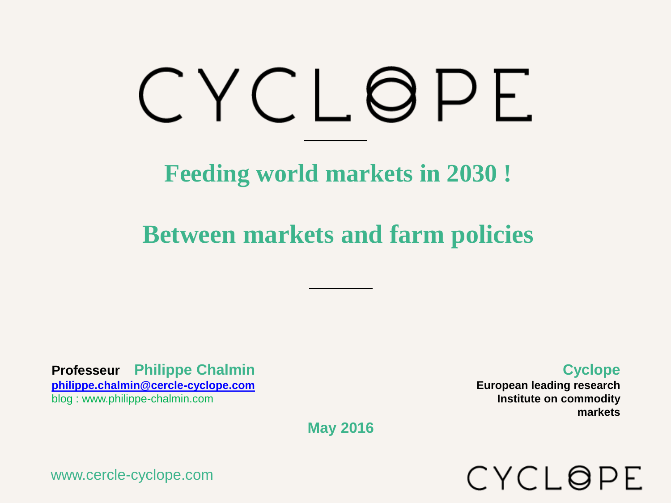# CYCLOPE

**Feeding world markets in 2030 !**

**Between markets and farm policies**

**Professeur Philippe Chalmin [philippe.chalmin@cercle-cyclope.com](mailto:philippe.chalmin@cercle-cyclope.com)** blog : www.philippe-chalmin.com

**Cyclope**

**European leading research Institute on commodity markets**

CYCLOPE

**May 2016**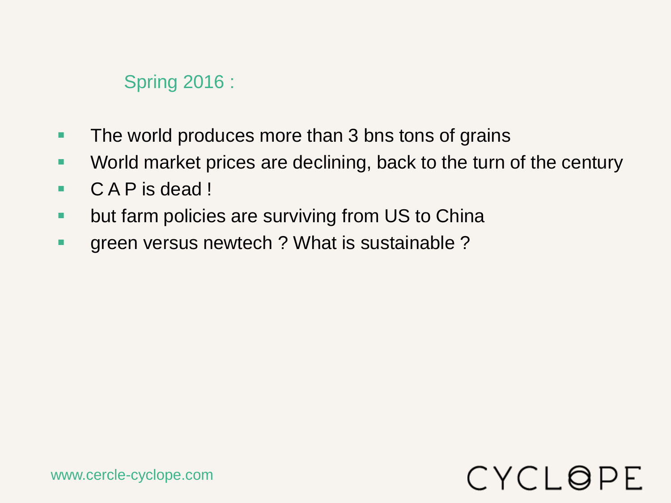#### Spring 2016 :

- **The world produces more than 3 bns tons of grains**
- **World market prices are declining, back to the turn of the century**
- C A P is dead !
- **but farm policies are surviving from US to China**
- **green versus newtech ? What is sustainable ?**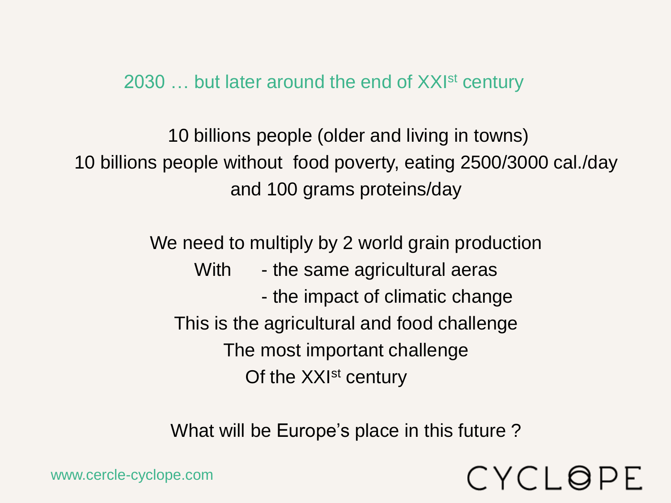2030 ... but later around the end of XXI<sup>st</sup> century

10 billions people (older and living in towns) 10 billions people without food poverty, eating 2500/3000 cal./day and 100 grams proteins/day

> We need to multiply by 2 world grain production With - the same agricultural aeras - the impact of climatic change This is the agricultural and food challenge The most important challenge Of the XXI<sup>st</sup> century

What will be Europe's place in this future ?

CYCLOPE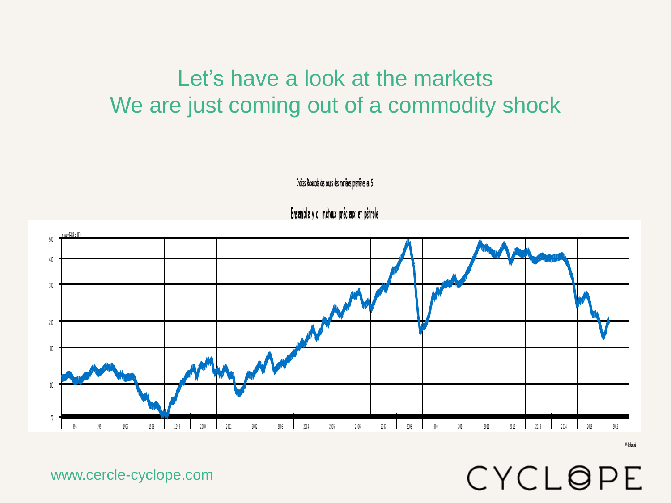## Let's have a look at the markets We are just coming out of a commodity shock

**Indices Rexecode des cours des matières premières en \$**

**Ensemble y c. métaux précieux et pétrole**



www.cercle-cyclope.com

**© Coe-Rexecode**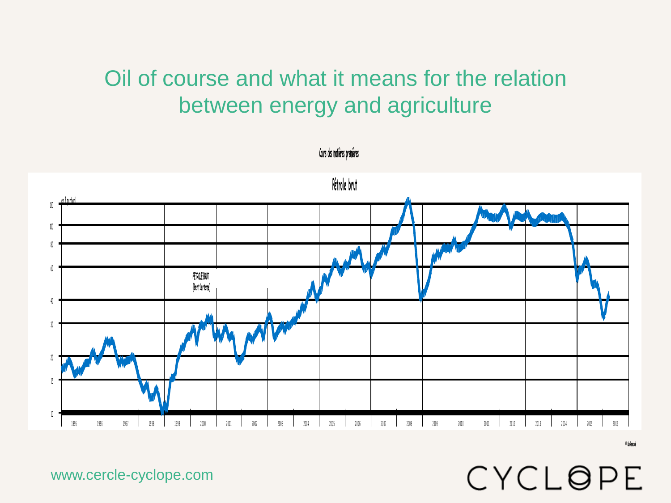## Oil of course and what it means for the relation between energy and agriculture



 **Cours des matières premières**

CYCLOPE

**© Coe-Rexecode**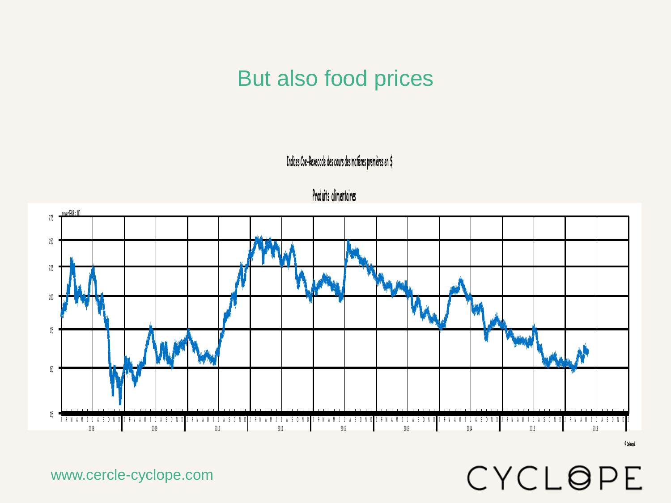### But also food prices

 **Indices Coe-Rexecode des cours des matières premières en \$**





www.cercle-cyclope.com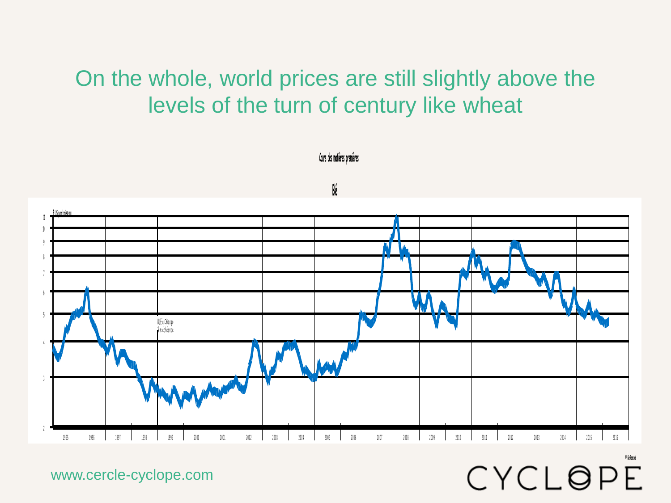## On the whole, world prices are still slightly above the levels of the turn of century like wheat

**.**<br>\$ US par boiseau  $\mathbf{f}$ 10 9 5 BLE à Chicago Lère é chéance 3 1995 1996 1997 1998 1999 2000 2001 2002 2003 2004 2005 2006 2007 2008 2009 2010 2011 2012 2013 2014 2015 2016

CYCLOPE

 **Cours des matières premières**

**Blé**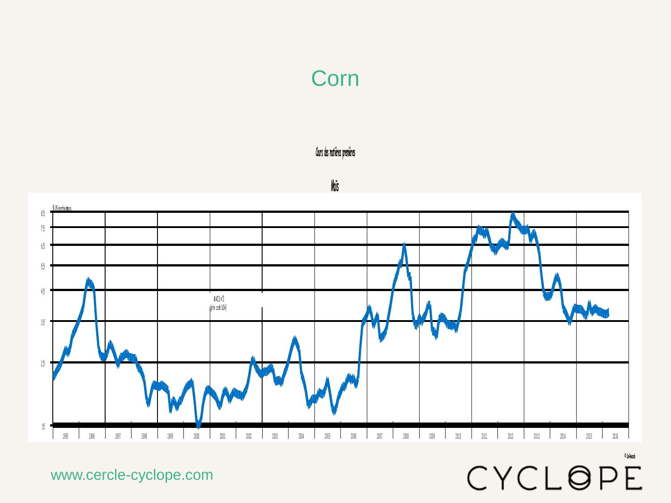## Corn

 **Cours des matières premières**

#### **Maïs**

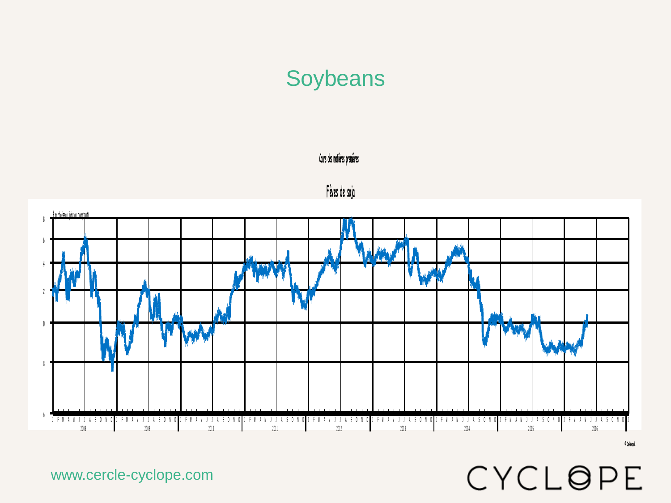## **Soybeans**

#### **Cours des matières premières**





www.cercle-cyclope.com

**© Coe-Rexecode**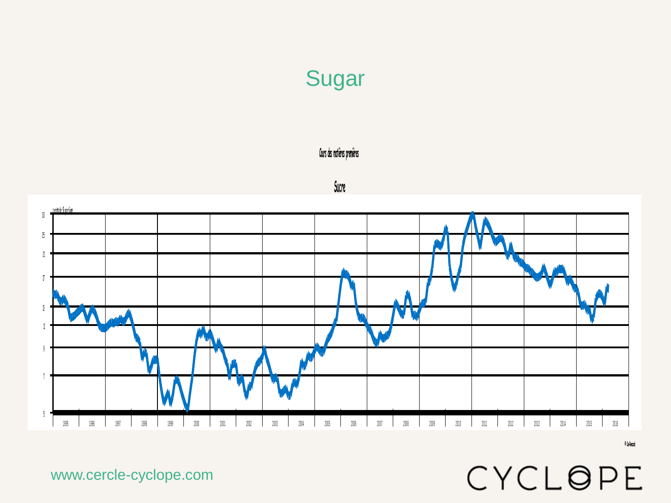# Sugar

#### **Cours des matières premières**

#### **Sucre**



www.cercle-cyclope.com

**© Coe-Rexecode**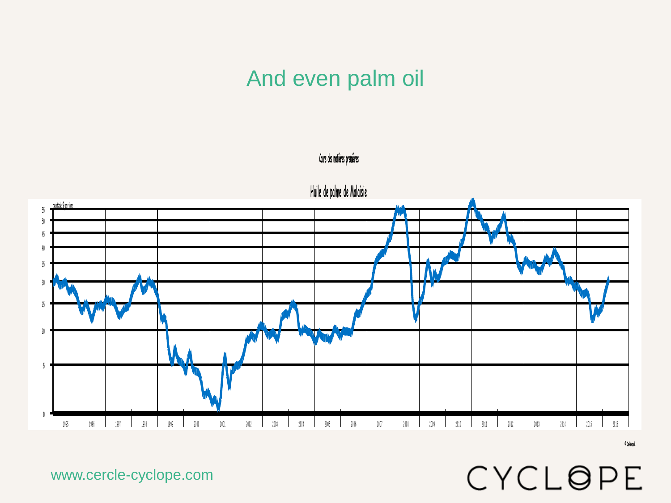#### And even palm oil





www.cercle-cyclope.com

**© Coe-Rexecode**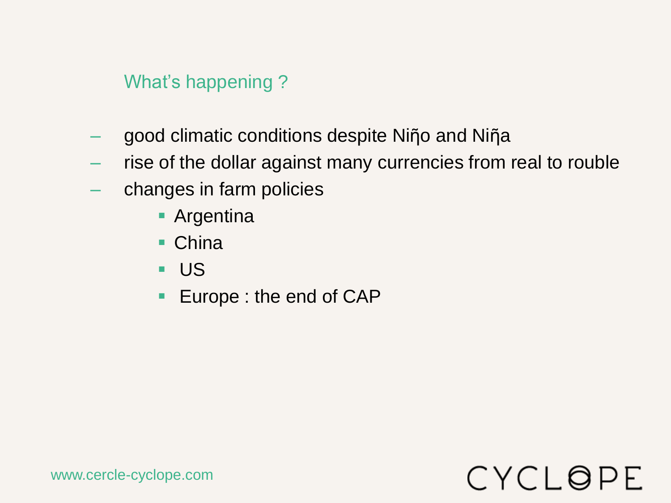What's happening ?

- good climatic conditions despite Niῆo and Niῆa
- rise of the dollar against many currencies from real to rouble
- changes in farm policies
	- **Argentina**
	- China
	- US
	- **Europe : the end of CAP**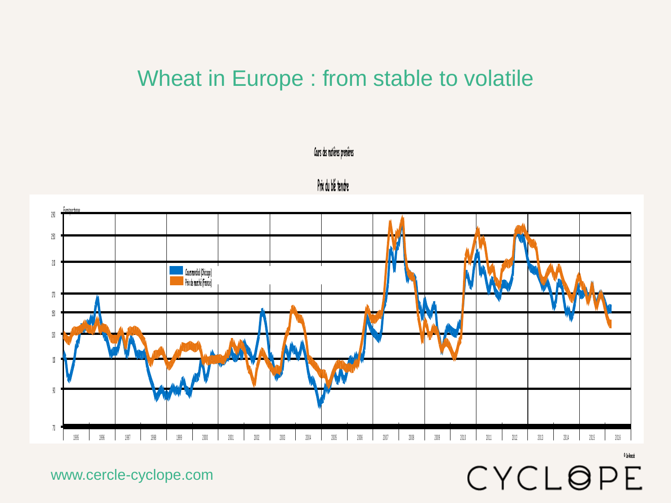#### Wheat in Europe : from stable to volatile



**Prix du blé tendre**

 **Cours des matières premières**

www.cercle-cyclope.com

**© Coe-Rexecode**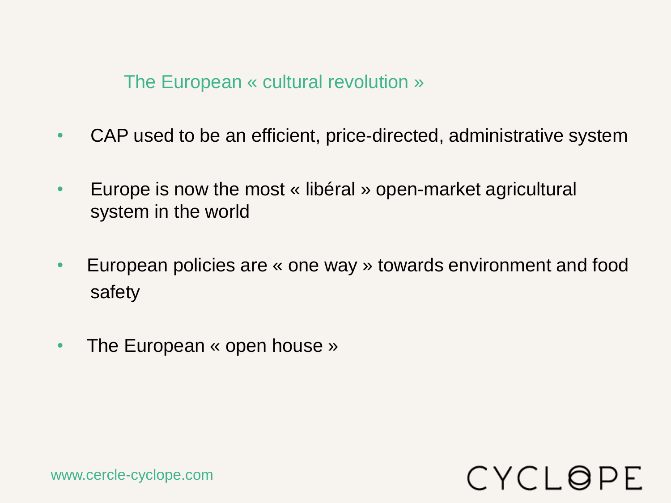The European « cultural revolution »

- CAP used to be an efficient, price-directed, administrative system
- Europe is now the most « libéral » open-market agricultural system in the world
- European policies are « one way » towards environment and food safety
- The European « open house »

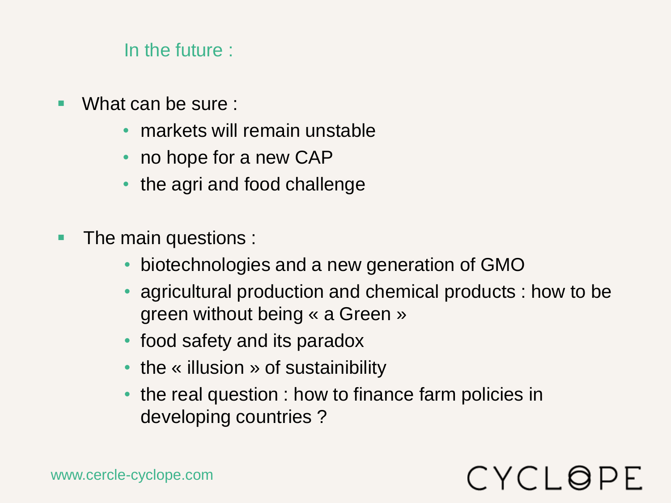#### In the future :

- What can be sure :
	- markets will remain unstable
	- no hope for a new CAP
	- the agri and food challenge
- **The main questions :** 
	- biotechnologies and a new generation of GMO
	- agricultural production and chemical products : how to be green without being « a Green »

- food safety and its paradox
- the « illusion » of sustainibility
- the real question : how to finance farm policies in developing countries ?